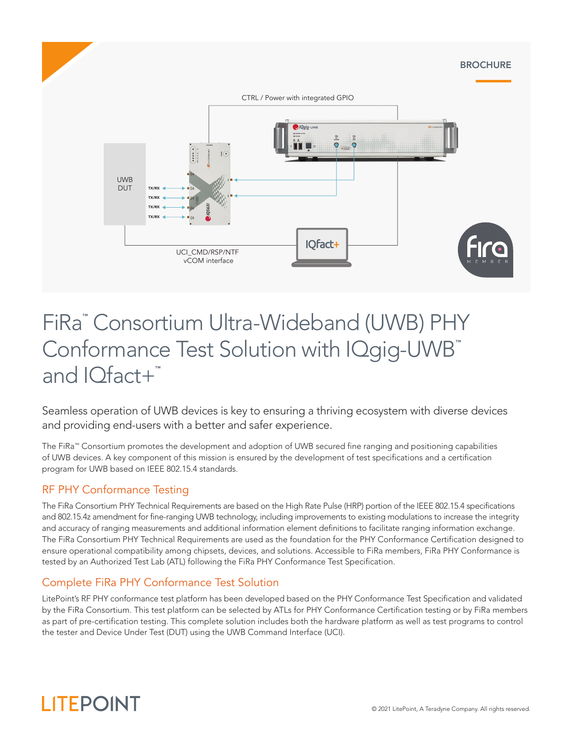

# FiRa™ Consortium Ultra-Wideband (UWB) PHY Conformance Test Solution with IQgig-UWB™ and IOfact+™

Seamless operation of UWB devices is key to ensuring a thriving ecosystem with diverse devices and providing end-users with a better and safer experience.

The FiRa™ Consortium promotes the development and adoption of UWB secured fine ranging and positioning capabilities of UWB devices. A key component of this mission is ensured by the development of test specifications and a certification program for UWB based on IEEE 802.15.4 standards.

# RF PHY Conformance Testing

The FiRa Consortium PHY Technical Requirements are based on the High Rate Pulse (HRP) portion of the IEEE 802.15.4 specifications and 802.15.4z amendment for fine-ranging UWB technology, including improvements to existing modulations to increase the integrity and accuracy of ranging measurements and additional information element definitions to facilitate ranging information exchange. The FiRa Consortium PHY Technical Requirements are used as the foundation for the PHY Conformance Certification designed to ensure operational compatibility among chipsets, devices, and solutions. Accessible to FiRa members, FiRa PHY Conformance is tested by an Authorized Test Lab (ATL) following the FiRa PHY Conformance Test Specification.

# Complete FiRa PHY Conformance Test Solution

LitePoint's RF PHY conformance test platform has been developed based on the PHY Conformance Test Specification and validated by the FiRa Consortium. This test platform can be selected by ATLs for PHY Conformance Certification testing or by FiRa members as part of pre-certification testing. This complete solution includes both the hardware platform as well as test programs to control the tester and Device Under Test (DUT) using the UWB Command Interface (UCI).